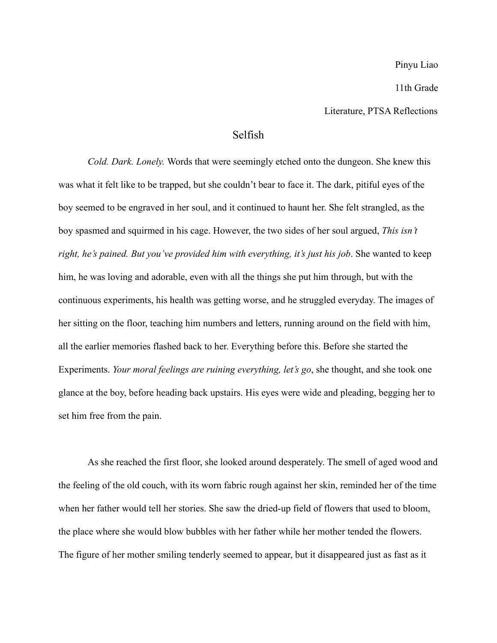Pinyu Liao

11th Grade

Literature, PTSA Reflections

## Selfish

*Cold. Dark. Lonely.* Words that were seemingly etched onto the dungeon. She knew this was what it felt like to be trapped, but she couldn't bear to face it. The dark, pitiful eyes of the boy seemed to be engraved in her soul, and it continued to haunt her. She felt strangled, as the boy spasmed and squirmed in his cage. However, the two sides of her soul argued, *This isn't right, he's pained. But you've provided him with everything, it's just his job*. She wanted to keep him, he was loving and adorable, even with all the things she put him through, but with the continuous experiments, his health was getting worse, and he struggled everyday. The images of her sitting on the floor, teaching him numbers and letters, running around on the field with him, all the earlier memories flashed back to her. Everything before this. Before she started the Experiments. *Your moral feelings are ruining everything, let's go*, she thought, and she took one glance at the boy, before heading back upstairs. His eyes were wide and pleading, begging her to set him free from the pain.

As she reached the first floor, she looked around desperately. The smell of aged wood and the feeling of the old couch, with its worn fabric rough against her skin, reminded her of the time when her father would tell her stories. She saw the dried-up field of flowers that used to bloom, the place where she would blow bubbles with her father while her mother tended the flowers. The figure of her mother smiling tenderly seemed to appear, but it disappeared just as fast as it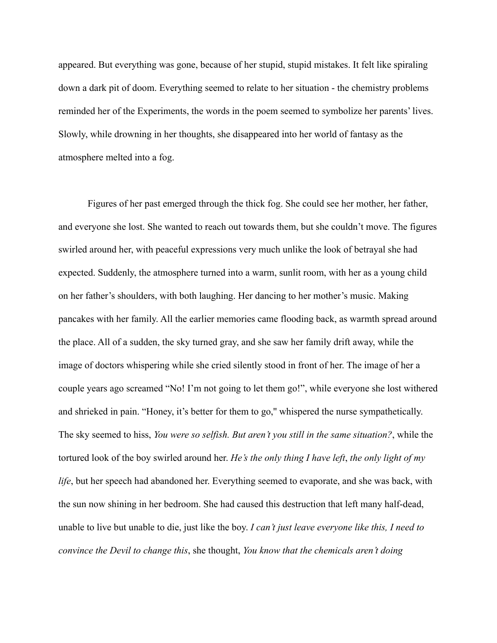appeared. But everything was gone, because of her stupid, stupid mistakes. It felt like spiraling down a dark pit of doom. Everything seemed to relate to her situation - the chemistry problems reminded her of the Experiments, the words in the poem seemed to symbolize her parents' lives. Slowly, while drowning in her thoughts, she disappeared into her world of fantasy as the atmosphere melted into a fog.

Figures of her past emerged through the thick fog. She could see her mother, her father, and everyone she lost. She wanted to reach out towards them, but she couldn't move. The figures swirled around her, with peaceful expressions very much unlike the look of betrayal she had expected. Suddenly, the atmosphere turned into a warm, sunlit room, with her as a young child on her father's shoulders, with both laughing. Her dancing to her mother's music. Making pancakes with her family. All the earlier memories came flooding back, as warmth spread around the place. All of a sudden, the sky turned gray, and she saw her family drift away, while the image of doctors whispering while she cried silently stood in front of her. The image of her a couple years ago screamed "No! I'm not going to let them go!", while everyone she lost withered and shrieked in pain. "Honey, it's better for them to go,'' whispered the nurse sympathetically. The sky seemed to hiss, *You were so selfish. But aren't you still in the same situation?*, while the tortured look of the boy swirled around her. *He's the only thing I have left*, *the only light of my life*, but her speech had abandoned her. Everything seemed to evaporate, and she was back, with the sun now shining in her bedroom. She had caused this destruction that left many half-dead, unable to live but unable to die, just like the boy. *I can't just leave everyone like this, I need to convince the Devil to change this*, she thought, *You know that the chemicals aren't doing*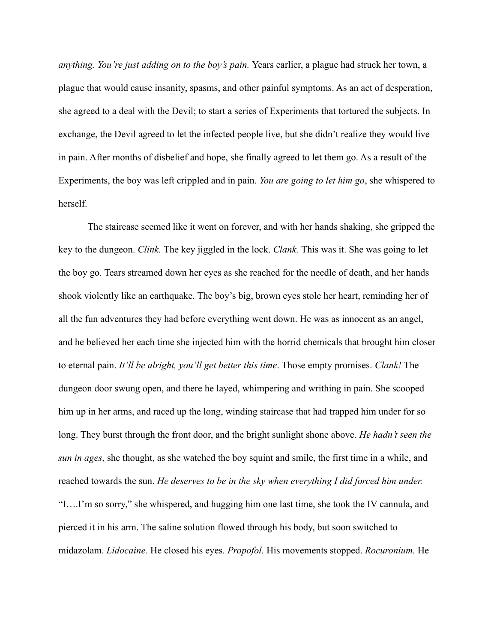*anything. You're just adding on to the boy's pain.* Years earlier, a plague had struck her town, a plague that would cause insanity, spasms, and other painful symptoms. As an act of desperation, she agreed to a deal with the Devil; to start a series of Experiments that tortured the subjects. In exchange, the Devil agreed to let the infected people live, but she didn't realize they would live in pain. After months of disbelief and hope, she finally agreed to let them go. As a result of the Experiments, the boy was left crippled and in pain. *You are going to let him go*, she whispered to herself.

The staircase seemed like it went on forever, and with her hands shaking, she gripped the key to the dungeon. *Clink.* The key jiggled in the lock. *Clank.* This was it. She was going to let the boy go. Tears streamed down her eyes as she reached for the needle of death, and her hands shook violently like an earthquake. The boy's big, brown eyes stole her heart, reminding her of all the fun adventures they had before everything went down. He was as innocent as an angel, and he believed her each time she injected him with the horrid chemicals that brought him closer to eternal pain. *It'll be alright, you'll get better this time*. Those empty promises. *Clank!* The dungeon door swung open, and there he layed, whimpering and writhing in pain. She scooped him up in her arms, and raced up the long, winding staircase that had trapped him under for so long. They burst through the front door, and the bright sunlight shone above. *He hadn't seen the sun in ages*, she thought, as she watched the boy squint and smile, the first time in a while, and reached towards the sun. *He deserves to be in the sky when everything I did forced him under.* "I….I'm so sorry," she whispered, and hugging him one last time, she took the IV cannula, and pierced it in his arm. The saline solution flowed through his body, but soon switched to midazolam. *Lidocaine.* He closed his eyes. *Propofol.* His movements stopped. *Rocuronium.* He